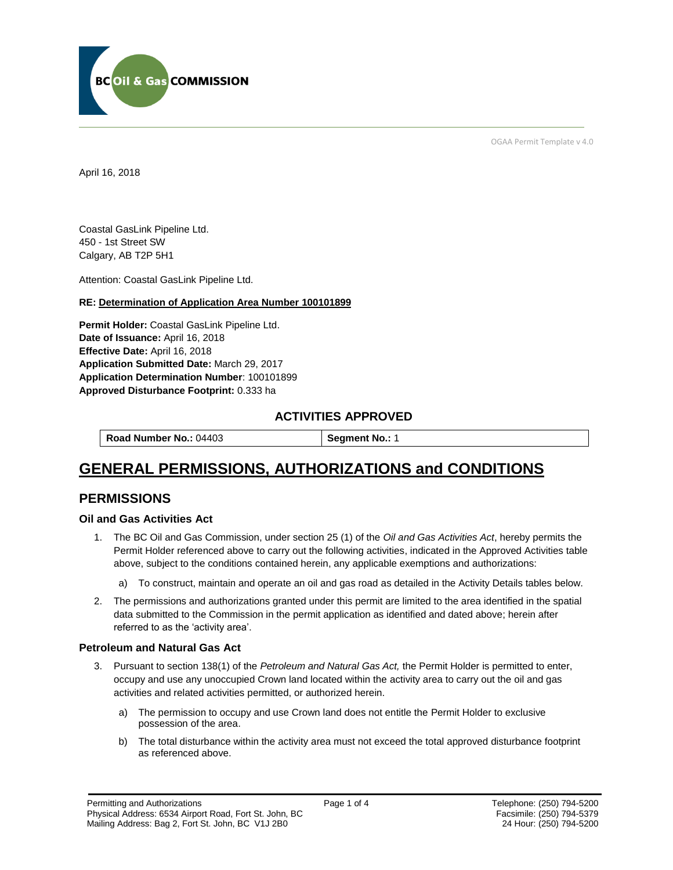

OGAA Permit Template v 4.0

April 16, 2018

Coastal GasLink Pipeline Ltd. 450 - 1st Street SW Calgary, AB T2P 5H1

[Attention:](#page-0-0) Coastal GasLink Pipeline Ltd.

#### **RE: Determination of Application Area Number 100101899**

**[Permit Holder:](#page-0-0)** Coastal GasLink Pipeline Ltd. **[Date of Issuance:](#page-0-0)** April 16, 2018 **[Effective Date:](#page-0-1)** April 16, 2018 **[Application Submitted Date:](#page-0-0)** March 29, 2017 **[Application Determination Number](#page-0-0)**: 100101899 **Approved Disturbance Footprint:** 0.333 ha

## **ACTIVITIES APPROVED**

**[Road Number No.:](#page-0-0) 04403 [Segment No.:](https://bi.bcogc.ca/Application%20Processing/Interactive%20Reports/(BIL-041)%20AMS%20Decision%20Summary.aspx) 1** 

# **GENERAL PERMISSIONS, AUTHORIZATIONS and CONDITIONS**

## **PERMISSIONS**

#### **Oil and Gas Activities Act**

- <span id="page-0-0"></span>1. The BC Oil and Gas Commission, under section 25 (1) of the *Oil and Gas Activities Act*, hereby permits the Permit Holder referenced above to carry out the following activities, indicated in the Approved Activities table above, subject to the conditions contained herein, any applicable exemptions and authorizations:
	- a) To construct, maintain and operate an oil and gas road as detailed in the Activity Details tables below.
- <span id="page-0-1"></span>2. The permissions and authorizations granted under this permit are limited to the area identified in the spatial data submitted to the Commission in the permit application as identified and dated above; herein after referred to as the 'activity area'.

#### **Petroleum and Natural Gas Act**

- 3. Pursuant to section 138(1) of the *Petroleum and Natural Gas Act,* the Permit Holder is permitted to enter, occupy and use any unoccupied Crown land located within the activity area to carry out the oil and gas activities and related activities permitted, or authorized herein.
	- a) The permission to occupy and use Crown land does not entitle the Permit Holder to exclusive possession of the area.
	- b) The total disturbance within the activity area must not exceed the total approved disturbance footprint as referenced above.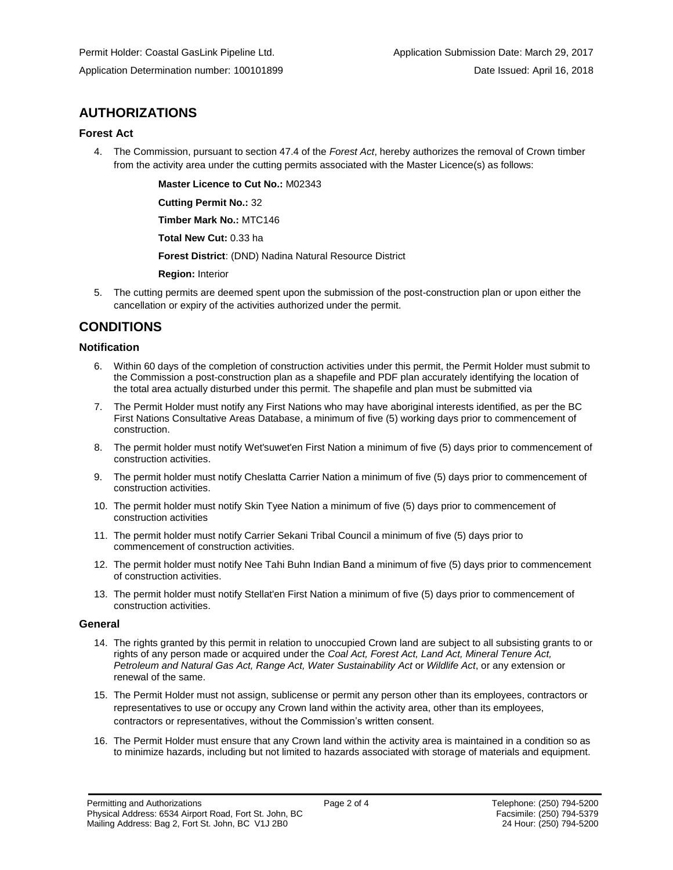# **AUTHORIZATIONS**

#### **Forest Act**

4. The Commission, pursuant to section 47.4 of the *Forest Act*, hereby authorizes the removal of Crown timber from the activity area under the cutting permits associated with the Master Licence(s) as follows:

**[Master Licence to Cut No.:](#page-0-0)** M02343

**[Cutting Permit No.:](#page-0-0)** 32

**[Timber Mark No.:](#page-0-0)** MTC146

**[Total New Cut:](#page-0-0)** 0.33 ha

**[Forest District](https://ams-crd.bcogc.ca/crd/)**: (DND) Nadina Natural Resource District

**[Region:](#page-0-1)** Interior

5. The cutting permits are deemed spent upon the submission of the post-construction plan or upon either the cancellation or expiry of the activities authorized under the permit.

# **CONDITIONS**

### **Notification**

- 6. Within 60 days of the completion of construction activities under this permit, the Permit Holder must submit to the Commission a post-construction plan as a shapefile and PDF plan accurately identifying the location of the total area actually disturbed under this permit. The shapefile and plan must be submitted via
- 7. The Permit Holder must notify any First Nations who may have aboriginal interests identified, as per the BC First Nations Consultative Areas Database, a minimum of five (5) working days prior to commencement of construction.
- 8. The permit holder must notify Wet'suwet'en First Nation a minimum of five (5) days prior to commencement of construction activities.
- 9. The permit holder must notify Cheslatta Carrier Nation a minimum of five (5) days prior to commencement of construction activities.
- 10. The permit holder must notify Skin Tyee Nation a minimum of five (5) days prior to commencement of construction activities
- 11. The permit holder must notify Carrier Sekani Tribal Council a minimum of five (5) days prior to commencement of construction activities.
- 12. The permit holder must notify Nee Tahi Buhn Indian Band a minimum of five (5) days prior to commencement of construction activities.
- 13. The permit holder must notify Stellat'en First Nation a minimum of five (5) days prior to commencement of construction activities.

#### **General**

- 14. The rights granted by this permit in relation to unoccupied Crown land are subject to all subsisting grants to or rights of any person made or acquired under the *Coal Act, Forest Act, Land Act, Mineral Tenure Act, Petroleum and Natural Gas Act, Range Act, Water Sustainability Act* or *Wildlife Act*, or any extension or renewal of the same.
- 15. The Permit Holder must not assign, sublicense or permit any person other than its employees, contractors or representatives to use or occupy any Crown land within the activity area, other than its employees, contractors or representatives, without the Commission's written consent.
- 16. The Permit Holder must ensure that any Crown land within the activity area is maintained in a condition so as to minimize hazards, including but not limited to hazards associated with storage of materials and equipment.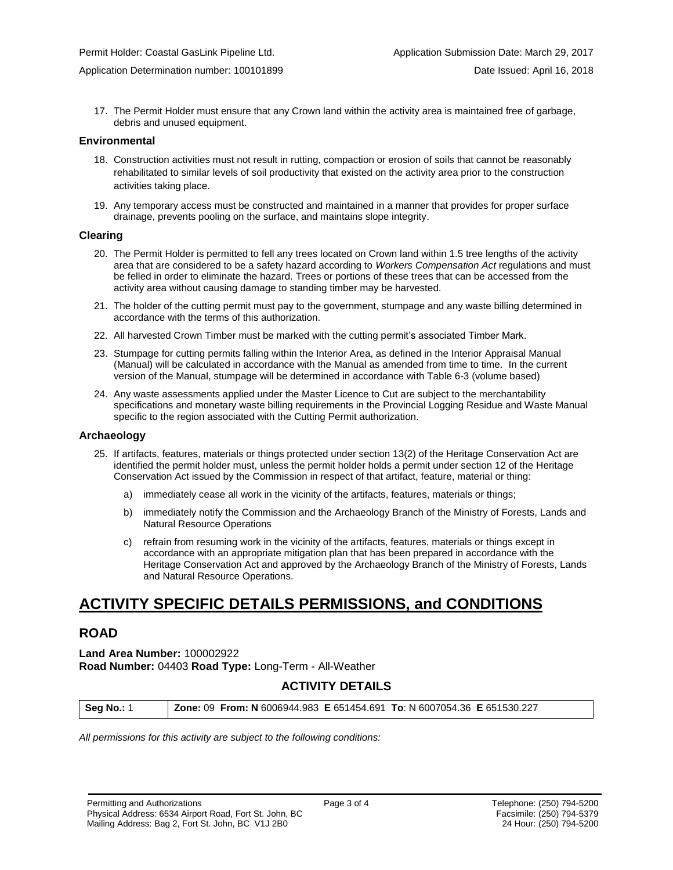17. The Permit Holder must ensure that any Crown land within the activity area is maintained free of garbage, debris and unused equipment.

#### **Environmental**

- 18. Construction activities must not result in rutting, compaction or erosion of soils that cannot be reasonably rehabilitated to similar levels of soil productivity that existed on the activity area prior to the construction activities taking place.
- 19. Any temporary access must be constructed and maintained in a manner that provides for proper surface drainage, prevents pooling on the surface, and maintains slope integrity.

#### **Clearing**

- 20. The Permit Holder is permitted to fell any trees located on Crown land within 1.5 tree lengths of the activity area that are considered to be a safety hazard according to *Workers Compensation Act* regulations and must be felled in order to eliminate the hazard. Trees or portions of these trees that can be accessed from the activity area without causing damage to standing timber may be harvested.
- 21. The holder of the cutting permit must pay to the government, stumpage and any waste billing determined in accordance with the terms of this authorization.
- 22. All harvested Crown Timber must be marked with the cutting permit's associated Timber Mark.
- 23. Stumpage for cutting permits falling within the Interior Area, as defined in the Interior Appraisal Manual (Manual) will be calculated in accordance with the Manual as amended from time to time. In the current version of the Manual, stumpage will be determined in accordance with Table 6-3 (volume based)
- 24. Any waste assessments applied under the Master Licence to Cut are subject to the merchantability specifications and monetary waste billing requirements in the Provincial Logging Residue and Waste Manual specific to the region associated with the Cutting Permit authorization.

#### **Archaeology**

- 25. If artifacts, features, materials or things protected under section 13(2) of the Heritage Conservation Act are identified the permit holder must, unless the permit holder holds a permit under section 12 of the Heritage Conservation Act issued by the Commission in respect of that artifact, feature, material or thing:
	- a) immediately cease all work in the vicinity of the artifacts, features, materials or things;
	- b) immediately notify the Commission and the Archaeology Branch of the Ministry of Forests, Lands and Natural Resource Operations
	- c) refrain from resuming work in the vicinity of the artifacts, features, materials or things except in accordance with an appropriate mitigation plan that has been prepared in accordance with the Heritage Conservation Act and approved by the Archaeology Branch of the Ministry of Forests, Lands and Natural Resource Operations.

# **ACTIVITY SPECIFIC DETAILS PERMISSIONS, and CONDITIONS**

## **ROAD**

#### **Land Area Number:** 100002922 **Road Number:** 04403 **Road Type:** Long-Term - All-Weather

### **ACTIVITY DETAILS**

**Seg No.:** 1 **Zone:** 09 **From: N** 6006944.983 **E** 651454.691 **To**: N 6007054.36 **E** 651530.227

*All permissions for this activity are subject to the following conditions:*